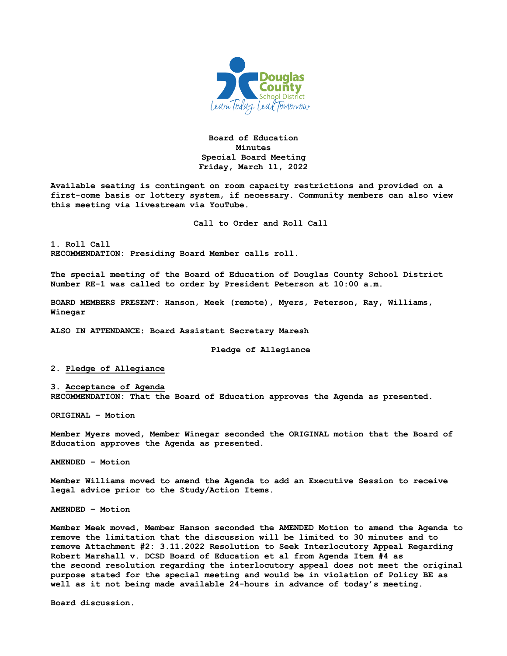

**Board of Education Minutes Special Board Meeting Friday, March 11, 2022**

**Available seating is contingent on room capacity restrictions and provided on a first-come basis or lottery system, if necessary. Community members can also view this meeting via livestream via YouTube.**

**Call to Order and Roll Call**

**1. Roll Call RECOMMENDATION: Presiding Board Member calls roll.** 

**The special meeting of the Board of Education of Douglas County School District Number RE-1 was called to order by President Peterson at 10:00 a.m.**

**BOARD MEMBERS PRESENT: Hanson, Meek (remote), Myers, Peterson, Ray, Williams, Winegar**

**ALSO IN ATTENDANCE: Board Assistant Secretary Maresh**

**Pledge of Allegiance**

**2. Pledge of Allegiance**

**3. Acceptance of Agenda RECOMMENDATION: That the Board of Education approves the Agenda as presented.** 

**ORIGINAL – Motion**

**Member Myers moved, Member Winegar seconded the ORIGINAL motion that the Board of Education approves the Agenda as presented.** 

**AMENDED – Motion**

**Member Williams moved to amend the Agenda to add an Executive Session to receive legal advice prior to the Study/Action Items.**

**AMENDED – Motion**

**Member Meek moved, Member Hanson seconded the AMENDED Motion to amend the Agenda to remove the limitation that the discussion will be limited to 30 minutes and to remove Attachment #2: 3.11.2022 Resolution to Seek Interlocutory Appeal Regarding Robert Marshall v. DCSD Board of Education et al from Agenda Item #4 as the second resolution regarding the interlocutory appeal does not meet the original purpose stated for the special meeting and would be in violation of Policy BE as well as it not being made available 24-hours in advance of today's meeting.**

**Board discussion.**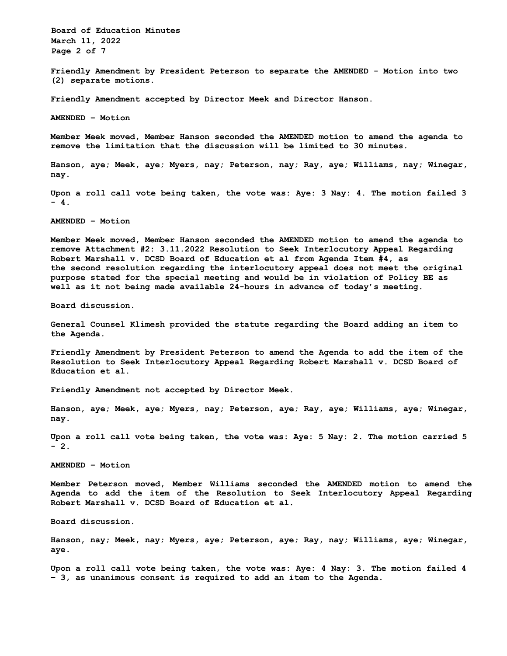**Board of Education Minutes March 11, 2022 Page 2 of 7** 

**Friendly Amendment by President Peterson to separate the AMENDED - Motion into two (2) separate motions.**

**Friendly Amendment accepted by Director Meek and Director Hanson.**

**AMENDED – Motion** 

**Member Meek moved, Member Hanson seconded the AMENDED motion to amend the agenda to remove the limitation that the discussion will be limited to 30 minutes.**

**Hanson, aye; Meek, aye; Myers, nay; Peterson, nay; Ray, aye; Williams, nay; Winegar, nay.**

**Upon a roll call vote being taken, the vote was: Aye: 3 Nay: 4. The motion failed 3 - 4.** 

**AMENDED – Motion** 

**Member Meek moved, Member Hanson seconded the AMENDED motion to amend the agenda to remove Attachment #2: 3.11.2022 Resolution to Seek Interlocutory Appeal Regarding Robert Marshall v. DCSD Board of Education et al from Agenda Item #4, as the second resolution regarding the interlocutory appeal does not meet the original purpose stated for the special meeting and would be in violation of Policy BE as well as it not being made available 24-hours in advance of today's meeting.** 

**Board discussion.** 

**General Counsel Klimesh provided the statute regarding the Board adding an item to the Agenda.** 

**Friendly Amendment by President Peterson to amend the Agenda to add the item of the Resolution to Seek Interlocutory Appeal Regarding Robert Marshall v. DCSD Board of Education et al.** 

**Friendly Amendment not accepted by Director Meek.** 

**Hanson, aye; Meek, aye; Myers, nay; Peterson, aye; Ray, aye; Williams, aye; Winegar, nay.** 

**Upon a roll call vote being taken, the vote was: Aye: 5 Nay: 2. The motion carried 5 - 2.** 

**AMENDED – Motion** 

**Member Peterson moved, Member Williams seconded the AMENDED motion to amend the Agenda to add the item of the Resolution to Seek Interlocutory Appeal Regarding Robert Marshall v. DCSD Board of Education et al.** 

**Board discussion.** 

**Hanson, nay; Meek, nay; Myers, aye; Peterson, aye; Ray, nay; Williams, aye; Winegar, aye.** 

**Upon a roll call vote being taken, the vote was: Aye: 4 Nay: 3. The motion failed 4 – 3, as unanimous consent is required to add an item to the Agenda.**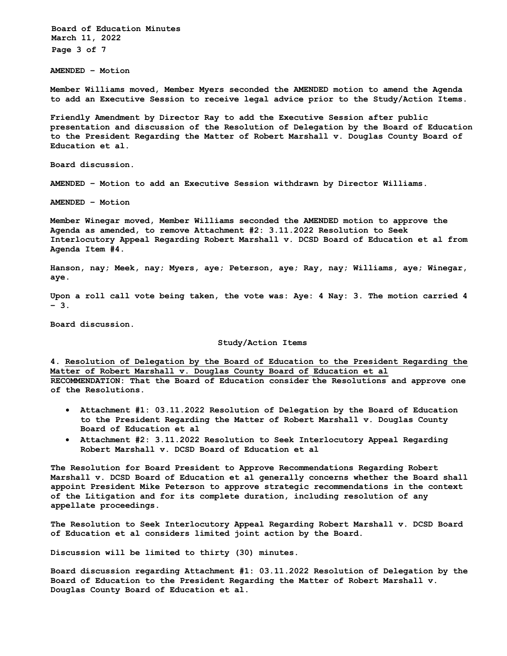**Board of Education Minutes March 11, 2022 Page 3 of 7** 

**AMENDED – Motion** 

**Member Williams moved, Member Myers seconded the AMENDED motion to amend the Agenda to add an Executive Session to receive legal advice prior to the Study/Action Items.** 

**Friendly Amendment by Director Ray to add the Executive Session after public presentation and discussion of the Resolution of Delegation by the Board of Education to the President Regarding the Matter of Robert Marshall v. Douglas County Board of Education et al.** 

**Board discussion.** 

**AMENDED – Motion to add an Executive Session withdrawn by Director Williams.** 

**AMENDED – Motion** 

**Member Winegar moved, Member Williams seconded the AMENDED motion to approve the Agenda as amended, to remove Attachment #2: 3.11.2022 Resolution to Seek Interlocutory Appeal Regarding Robert Marshall v. DCSD Board of Education et al from Agenda Item #4.** 

**Hanson, nay; Meek, nay; Myers, aye; Peterson, aye; Ray, nay; Williams, aye; Winegar, aye.** 

**Upon a roll call vote being taken, the vote was: Aye: 4 Nay: 3. The motion carried 4 – 3.** 

**Board discussion.** 

**Study/Action Items** 

**4. Resolution of Delegation by the Board of Education to the President Regarding the Matter of Robert Marshall v. Douglas County Board of Education et al RECOMMENDATION: That the Board of Education consider the Resolutions and approve one of the Resolutions.**

- **Attachment #1: 03.11.2022 Resolution of Delegation by the Board of Education to the President Regarding the Matter of Robert Marshall v. Douglas County Board of Education et al**
- **Attachment #2: 3.11.2022 Resolution to Seek Interlocutory Appeal Regarding Robert Marshall v. DCSD Board of Education et al**

**The Resolution for Board President to Approve Recommendations Regarding Robert Marshall v. DCSD Board of Education et al generally concerns whether the Board shall appoint President Mike Peterson to approve strategic recommendations in the context of the Litigation and for its complete duration, including resolution of any appellate proceedings.** 

**The Resolution to Seek Interlocutory Appeal Regarding Robert Marshall v. DCSD Board of Education et al considers limited joint action by the Board.** 

**Discussion will be limited to thirty (30) minutes.**

**Board discussion regarding Attachment #1: 03.11.2022 Resolution of Delegation by the Board of Education to the President Regarding the Matter of Robert Marshall v. Douglas County Board of Education et al.**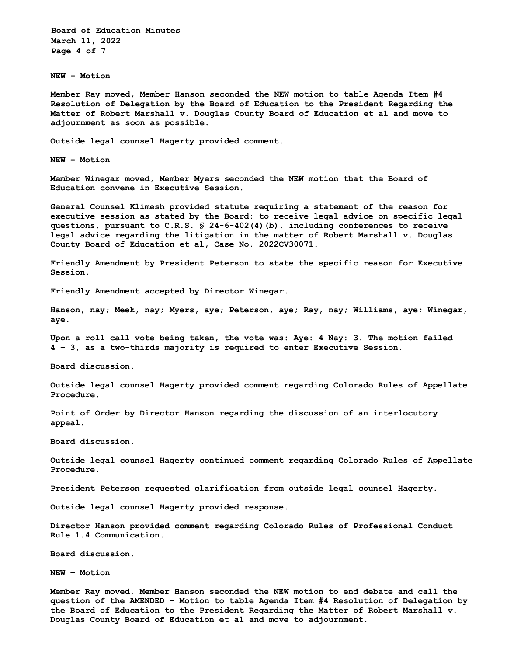**Board of Education Minutes March 11, 2022 Page 4 of 7** 

**NEW – Motion**

**Member Ray moved, Member Hanson seconded the NEW motion to table Agenda Item #4 Resolution of Delegation by the Board of Education to the President Regarding the Matter of Robert Marshall v. Douglas County Board of Education et al and move to adjournment as soon as possible.**

**Outside legal counsel Hagerty provided comment.** 

**NEW – Motion** 

**Member Winegar moved, Member Myers seconded the NEW motion that the Board of Education convene in Executive Session.** 

**General Counsel Klimesh provided statute requiring a statement of the reason for executive session as stated by the Board: to receive legal advice on specific legal questions, pursuant to C.R.S. § 24-6-402(4)(b), including conferences to receive legal advice regarding the litigation in the matter of Robert Marshall v. Douglas County Board of Education et al, Case No. 2022CV30071.** 

**Friendly Amendment by President Peterson to state the specific reason for Executive Session.** 

**Friendly Amendment accepted by Director Winegar.** 

**Hanson, nay; Meek, nay; Myers, aye; Peterson, aye; Ray, nay; Williams, aye; Winegar, aye.** 

**Upon a roll call vote being taken, the vote was: Aye: 4 Nay: 3. The motion failed 4 – 3, as a two-thirds majority is required to enter Executive Session.** 

**Board discussion.** 

**Outside legal counsel Hagerty provided comment regarding Colorado Rules of Appellate Procedure.** 

**Point of Order by Director Hanson regarding the discussion of an interlocutory appeal.** 

**Board discussion.** 

**Outside legal counsel Hagerty continued comment regarding Colorado Rules of Appellate Procedure.** 

**President Peterson requested clarification from outside legal counsel Hagerty.** 

**Outside legal counsel Hagerty provided response.** 

**Director Hanson provided comment regarding Colorado Rules of Professional Conduct Rule 1.4 Communication.** 

**Board discussion.** 

**NEW – Motion** 

**Member Ray moved, Member Hanson seconded the NEW motion to end debate and call the question of the AMENDED – Motion to table Agenda Item #4 Resolution of Delegation by the Board of Education to the President Regarding the Matter of Robert Marshall v. Douglas County Board of Education et al and move to adjournment.**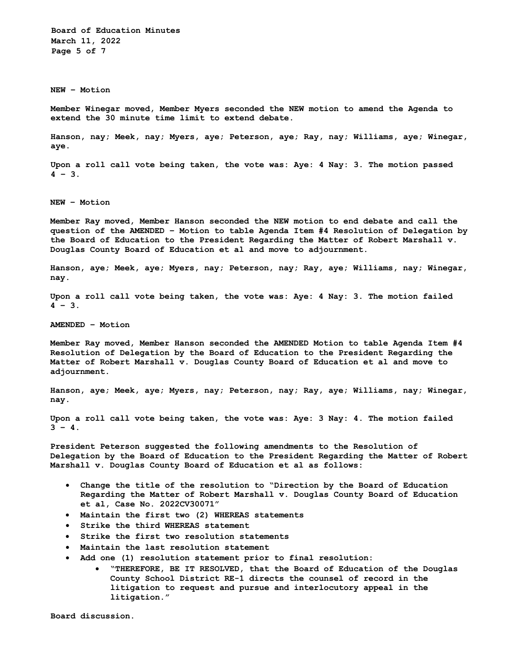**Board of Education Minutes March 11, 2022 Page 5 of 7**

**NEW – Motion**

**Member Winegar moved, Member Myers seconded the NEW motion to amend the Agenda to extend the 30 minute time limit to extend debate.**

**Hanson, nay; Meek, nay; Myers, aye; Peterson, aye; Ray, nay; Williams, aye; Winegar, aye.**

**Upon a roll call vote being taken, the vote was: Aye: 4 Nay: 3. The motion passed 4 – 3.**

**NEW – Motion** 

**Member Ray moved, Member Hanson seconded the NEW motion to end debate and call the question of the AMENDED – Motion to table Agenda Item #4 Resolution of Delegation by the Board of Education to the President Regarding the Matter of Robert Marshall v. Douglas County Board of Education et al and move to adjournment.** 

**Hanson, aye; Meek, aye; Myers, nay; Peterson, nay; Ray, aye; Williams, nay; Winegar, nay.** 

**Upon a roll call vote being taken, the vote was: Aye: 4 Nay: 3. The motion failed 4 – 3.** 

**AMENDED – Motion** 

**Member Ray moved, Member Hanson seconded the AMENDED Motion to table Agenda Item #4 Resolution of Delegation by the Board of Education to the President Regarding the Matter of Robert Marshall v. Douglas County Board of Education et al and move to adjournment.** 

**Hanson, aye; Meek, aye; Myers, nay; Peterson, nay; Ray, aye; Williams, nay; Winegar, nay.** 

**Upon a roll call vote being taken, the vote was: Aye: 3 Nay: 4. The motion failed**   $3 - 4.$ 

**President Peterson suggested the following amendments to the Resolution of Delegation by the Board of Education to the President Regarding the Matter of Robert Marshall v. Douglas County Board of Education et al as follows:** 

- **Change the title of the resolution to "Direction by the Board of Education Regarding the Matter of Robert Marshall v. Douglas County Board of Education et al, Case No. 2022CV30071"**
- **Maintain the first two (2) WHEREAS statements**
- **Strike the third WHEREAS statement**
- **Strike the first two resolution statements**
- **Maintain the last resolution statement**
- **Add one (1) resolution statement prior to final resolution:**
	- **"THEREFORE, BE IT RESOLVED, that the Board of Education of the Douglas County School District RE-1 directs the counsel of record in the litigation to request and pursue and interlocutory appeal in the litigation."**

**Board discussion.**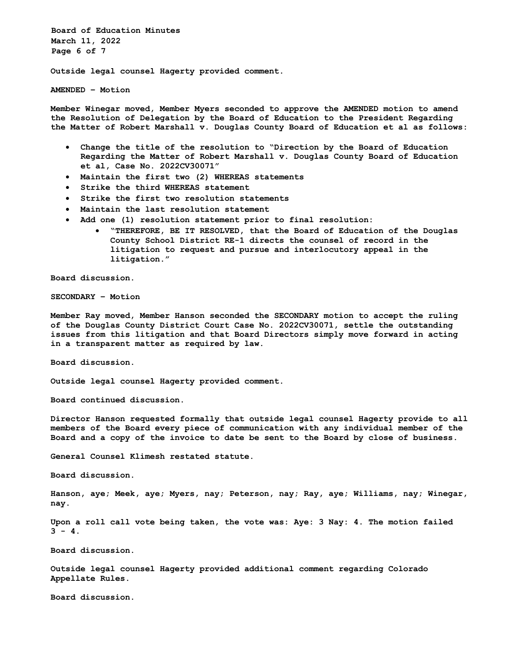**Board of Education Minutes March 11, 2022 Page 6 of 7**

**Outside legal counsel Hagerty provided comment.**

**AMENDED – Motion**

**Member Winegar moved, Member Myers seconded to approve the AMENDED motion to amend the Resolution of Delegation by the Board of Education to the President Regarding the Matter of Robert Marshall v. Douglas County Board of Education et al as follows:**

- **Change the title of the resolution to "Direction by the Board of Education Regarding the Matter of Robert Marshall v. Douglas County Board of Education et al, Case No. 2022CV30071"**
- **Maintain the first two (2) WHEREAS statements**
- **Strike the third WHEREAS statement**
- **Strike the first two resolution statements**
- **Maintain the last resolution statement**
- **Add one (1) resolution statement prior to final resolution:**
	- **"THEREFORE, BE IT RESOLVED, that the Board of Education of the Douglas County School District RE-1 directs the counsel of record in the litigation to request and pursue and interlocutory appeal in the litigation."**

**Board discussion.**

**SECONDARY – Motion**

**Member Ray moved, Member Hanson seconded the SECONDARY motion to accept the ruling of the Douglas County District Court Case No. 2022CV30071, settle the outstanding issues from this litigation and that Board Directors simply move forward in acting in a transparent matter as required by law.**

**Board discussion.**

**Outside legal counsel Hagerty provided comment.**

**Board continued discussion.**

**Director Hanson requested formally that outside legal counsel Hagerty provide to all members of the Board every piece of communication with any individual member of the Board and a copy of the invoice to date be sent to the Board by close of business.** 

**General Counsel Klimesh restated statute.**

**Board discussion.**

**Hanson, aye; Meek, aye; Myers, nay; Peterson, nay; Ray, aye; Williams, nay; Winegar, nay.** 

**Upon a roll call vote being taken, the vote was: Aye: 3 Nay: 4. The motion failed**   $3 - 4.$ 

**Board discussion.**

**Outside legal counsel Hagerty provided additional comment regarding Colorado Appellate Rules.**

**Board discussion.**